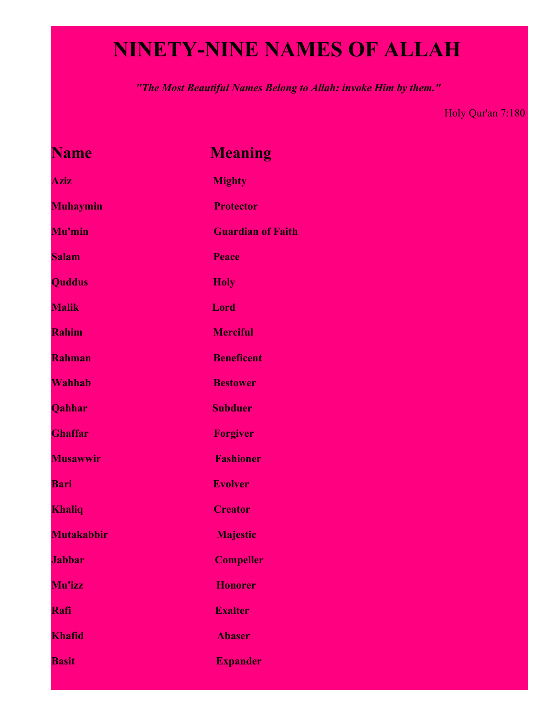## **NINETY-NINE NAMES OF ALLAH**

*"The Most Beautiful Names Belong to Allah: invoke Him by them."*

Holy Qur'an 7:180

| <b>Name</b>       | <b>Meaning</b>           |
|-------------------|--------------------------|
| <b>Aziz</b>       | <b>Mighty</b>            |
| <b>Muhaymin</b>   | <b>Protector</b>         |
| Mu'min            | <b>Guardian of Faith</b> |
| <b>Salam</b>      | Peace                    |
| <b>Quddus</b>     | <b>Holy</b>              |
| <b>Malik</b>      | Lord                     |
| Rahim             | <b>Merciful</b>          |
| Rahman            | <b>Beneficent</b>        |
| Wahhab            | <b>Bestower</b>          |
| Qahhar            | <b>Subduer</b>           |
| <b>Ghaffar</b>    | <b>Forgiver</b>          |
| <b>Musawwir</b>   | <b>Fashioner</b>         |
| <b>Bari</b>       | <b>Evolver</b>           |
| <b>Khaliq</b>     | <b>Creator</b>           |
| <b>Mutakabbir</b> | <b>Majestic</b>          |
| <b>Jabbar</b>     | <b>Compeller</b>         |
| Mu'izz            | <b>Honorer</b>           |
| Rafi              | <b>Exalter</b>           |
| Khafid            | <b>Abaser</b>            |
| <b>Basit</b>      | <b>Expander</b>          |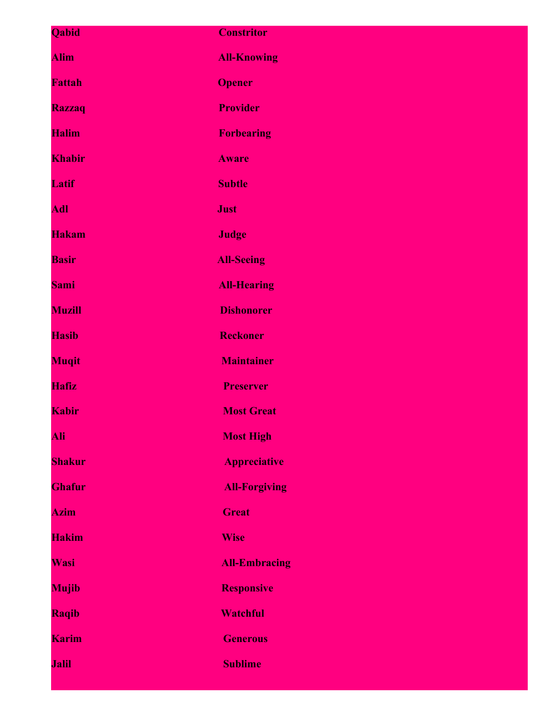| Qabid         | <b>Constritor</b>    |
|---------------|----------------------|
| <b>Alim</b>   | <b>All-Knowing</b>   |
| <b>Fattah</b> | <b>Opener</b>        |
| <b>Razzaq</b> | <b>Provider</b>      |
| <b>Halim</b>  | <b>Forbearing</b>    |
| Khabir        | <b>Aware</b>         |
| Latif         | <b>Subtle</b>        |
| <b>Adl</b>    | <b>Just</b>          |
| <b>Hakam</b>  | <b>Judge</b>         |
| <b>Basir</b>  | <b>All-Seeing</b>    |
| <b>Sami</b>   | <b>All-Hearing</b>   |
| <b>Muzill</b> | <b>Dishonorer</b>    |
| <b>Hasib</b>  | <b>Reckoner</b>      |
| <b>Muqit</b>  | <b>Maintainer</b>    |
| <b>Hafiz</b>  | <b>Preserver</b>     |
| <b>Kabir</b>  | <b>Most Great</b>    |
| Ali           | <b>Most High</b>     |
| <b>Shakur</b> | <b>Appreciative</b>  |
| <b>Ghafur</b> | <b>All-Forgiving</b> |
| <b>Azim</b>   | <b>Great</b>         |
| <b>Hakim</b>  | <b>Wise</b>          |
| Wasi          | <b>All-Embracing</b> |
| <b>Mujib</b>  | <b>Responsive</b>    |
| Raqib         | <b>Watchful</b>      |
| <b>Karim</b>  | <b>Generous</b>      |
| <b>Jalil</b>  | <b>Sublime</b>       |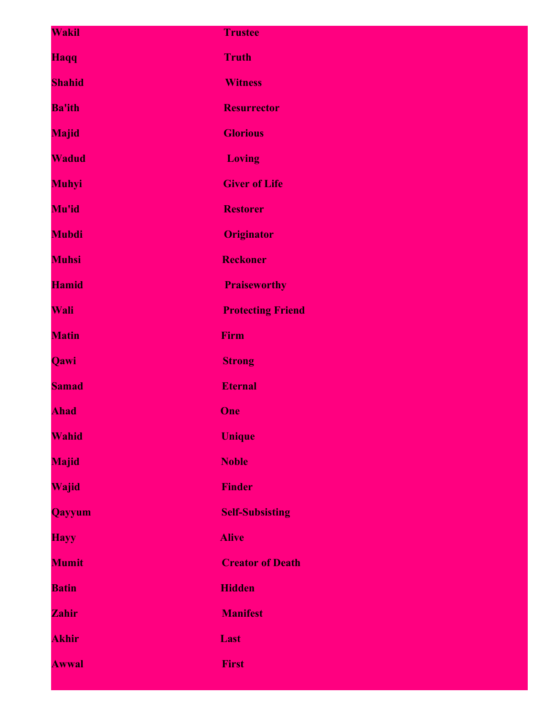| Wakil         | <b>Trustee</b>           |
|---------------|--------------------------|
| Haqq          | <b>Truth</b>             |
| <b>Shahid</b> | <b>Witness</b>           |
| <b>Ba'ith</b> | <b>Resurrector</b>       |
| <b>Majid</b>  | <b>Glorious</b>          |
| <b>Wadud</b>  | <b>Loving</b>            |
| <b>Muhyi</b>  | <b>Giver of Life</b>     |
| Mu'id         | <b>Restorer</b>          |
| <b>Mubdi</b>  | <b>Originator</b>        |
| <b>Muhsi</b>  | <b>Reckoner</b>          |
| <b>Hamid</b>  | <b>Praiseworthy</b>      |
| Wali          | <b>Protecting Friend</b> |
| <b>Matin</b>  | Firm                     |
| Qawi          | <b>Strong</b>            |
| <b>Samad</b>  | <b>Eternal</b>           |
| <b>Ahad</b>   | One                      |
| Wahid         | <b>Unique</b>            |
| <b>Majid</b>  | <b>Noble</b>             |
| Wajid         | <b>Finder</b>            |
| <b>Qayyum</b> | <b>Self-Subsisting</b>   |
| <b>Hayy</b>   | <b>Alive</b>             |
| <b>Mumit</b>  | <b>Creator of Death</b>  |
| <b>Batin</b>  | <b>Hidden</b>            |
| Zahir         | <b>Manifest</b>          |
| <b>Akhir</b>  | Last                     |
| <b>Awwal</b>  | <b>First</b>             |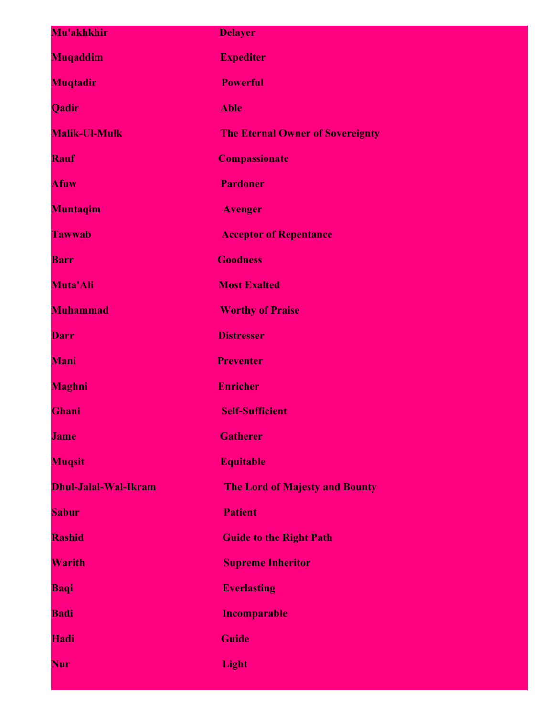| Mu'akhkhir           | <b>Delayer</b>                          |
|----------------------|-----------------------------------------|
| Muqaddim             | <b>Expediter</b>                        |
| <b>Muqtadir</b>      | <b>Powerful</b>                         |
| Qadir                | <b>Able</b>                             |
| <b>Malik-Ul-Mulk</b> | <b>The Eternal Owner of Sovereignty</b> |
| <b>Rauf</b>          | <b>Compassionate</b>                    |
| <b>Afuw</b>          | <b>Pardoner</b>                         |
| Muntaqim             | <b>Avenger</b>                          |
| <b>Tawwab</b>        | <b>Acceptor of Repentance</b>           |
| <b>Barr</b>          | <b>Goodness</b>                         |
| Muta'Ali             | <b>Most Exalted</b>                     |
| <b>Muhammad</b>      | <b>Worthy of Praise</b>                 |
| <b>Darr</b>          | <b>Distresser</b>                       |
| Mani                 | <b>Preventer</b>                        |
| <b>Maghni</b>        | <b>Enricher</b>                         |
| Ghani                | <b>Self-Sufficient</b>                  |
| <b>Jame</b>          | <b>Gatherer</b>                         |
| <b>Muqsit</b>        | <b>Equitable</b>                        |
| Dhul-Jalal-Wal-Ikram | <b>The Lord of Majesty and Bounty</b>   |
| <b>Sabur</b>         | <b>Patient</b>                          |
| <b>Rashid</b>        | <b>Guide to the Right Path</b>          |
| <b>Warith</b>        | <b>Supreme Inheritor</b>                |
| <b>Baqi</b>          | <b>Everlasting</b>                      |
| <b>Badi</b>          | <b>Incomparable</b>                     |
| <b>Hadi</b>          | Guide                                   |
| <b>Nur</b>           | <b>Light</b>                            |